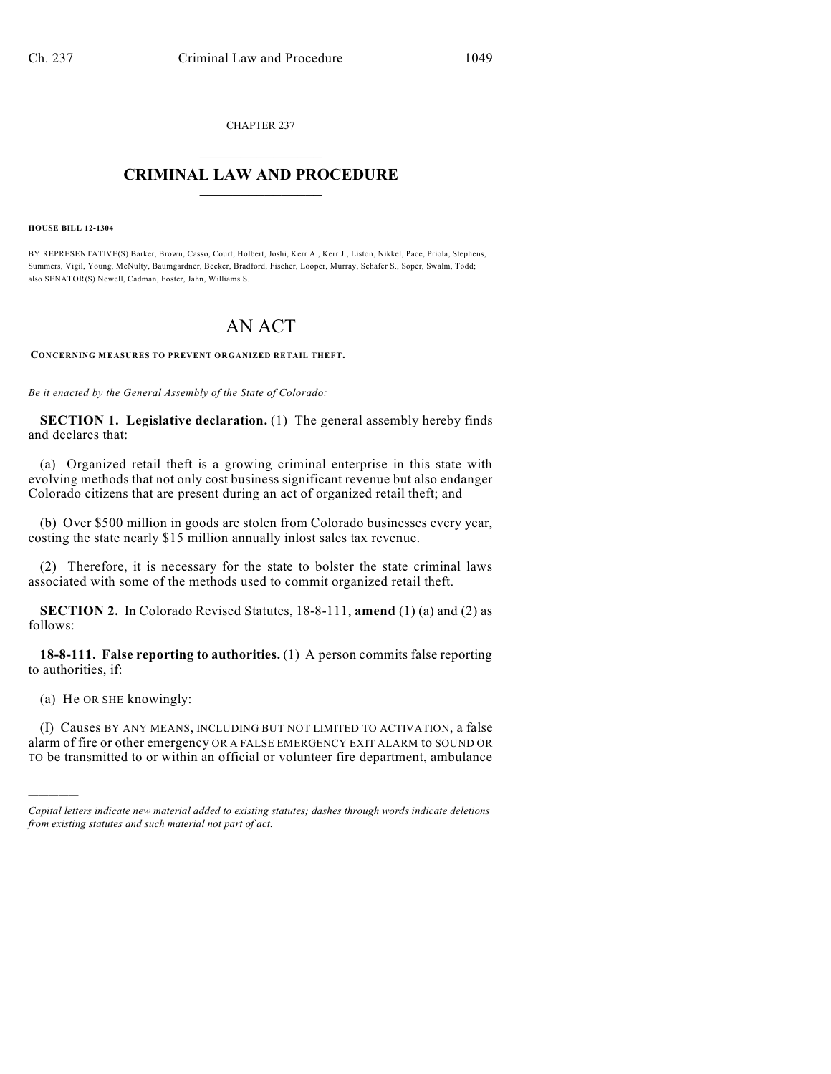CHAPTER 237  $\overline{\phantom{a}}$  . The set of the set of the set of the set of the set of the set of the set of the set of the set of the set of the set of the set of the set of the set of the set of the set of the set of the set of the set o

## **CRIMINAL LAW AND PROCEDURE**  $\frac{1}{2}$  ,  $\frac{1}{2}$  ,  $\frac{1}{2}$  ,  $\frac{1}{2}$  ,  $\frac{1}{2}$  ,  $\frac{1}{2}$  ,  $\frac{1}{2}$

**HOUSE BILL 12-1304**

BY REPRESENTATIVE(S) Barker, Brown, Casso, Court, Holbert, Joshi, Kerr A., Kerr J., Liston, Nikkel, Pace, Priola, Stephens, Summers, Vigil, Young, McNulty, Baumgardner, Becker, Bradford, Fischer, Looper, Murray, Schafer S., Soper, Swalm, Todd; also SENATOR(S) Newell, Cadman, Foster, Jahn, Williams S.

## AN ACT

**CONCERNING MEASURES TO PREVENT ORGANIZED RETAIL THEFT.**

*Be it enacted by the General Assembly of the State of Colorado:*

**SECTION 1. Legislative declaration.** (1) The general assembly hereby finds and declares that:

(a) Organized retail theft is a growing criminal enterprise in this state with evolving methods that not only cost business significant revenue but also endanger Colorado citizens that are present during an act of organized retail theft; and

(b) Over \$500 million in goods are stolen from Colorado businesses every year, costing the state nearly \$15 million annually inlost sales tax revenue.

(2) Therefore, it is necessary for the state to bolster the state criminal laws associated with some of the methods used to commit organized retail theft.

**SECTION 2.** In Colorado Revised Statutes, 18-8-111, **amend** (1) (a) and (2) as follows:

**18-8-111. False reporting to authorities.** (1) A person commits false reporting to authorities, if:

(a) He OR SHE knowingly:

)))))

(I) Causes BY ANY MEANS, INCLUDING BUT NOT LIMITED TO ACTIVATION, a false alarm of fire or other emergency OR A FALSE EMERGENCY EXIT ALARM to SOUND OR TO be transmitted to or within an official or volunteer fire department, ambulance

*Capital letters indicate new material added to existing statutes; dashes through words indicate deletions from existing statutes and such material not part of act.*